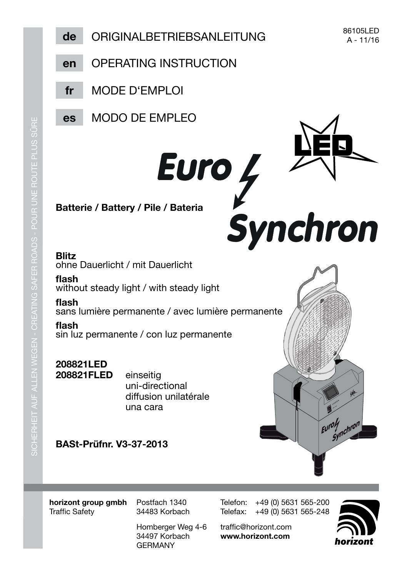

horizont group gmbh **Traffic Safety** 

Postfach 1340 34483 Korbach

Homberger Weg 4-6 34497 Korbach **GFRMANY** 

Telefon: +49 (0) 5631 565-200 Telefax: +49 (0) 5631 565-248

traffic@horizont.com www.horizont.com

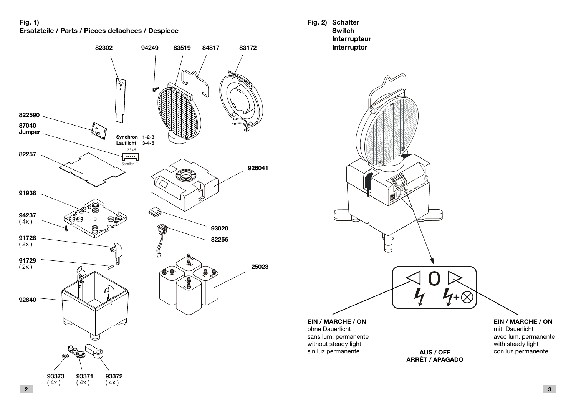**Fig. 1) Ersatzteile / Parts / Pieces detachees / Despiece**



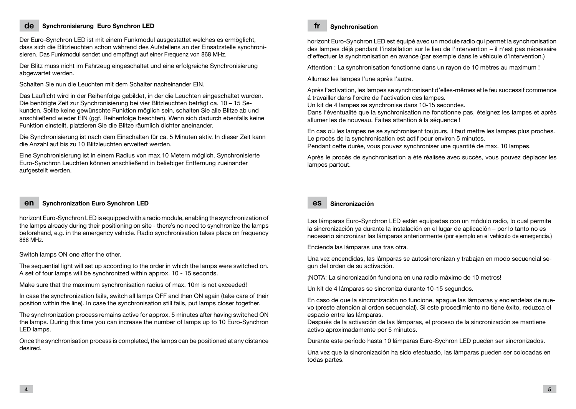## **de Synchronisierung Euro Synchron LED**

Der Euro-Synchron LED ist mit einem Funkmodul ausgestattet welches es ermöglicht, dass sich die Blitzleuchten schon während des Aufstellens an der Einsatzstelle synchronisieren. Das Funkmodul sendet und empfängt auf einer Frequenz von 868 MHz.

Der Blitz muss nicht im Fahrzeug eingeschaltet und eine erfolgreiche Synchronisierung abgewartet werden.

Schalten Sie nun die Leuchten mit dem Schalter nacheinander EIN.

Das Lauflicht wird in der Reihenfolge gebildet, in der die Leuchten eingeschaltet wurden. Die benötigte Zeit zur Synchronisierung bei vier Blitzleuchten beträgt ca. 10 – 15 Sekunden. Sollte keine gewünschte Funktion möglich sein, schalten Sie alle Blitze ab und anschließend wieder EIN (ggf. Reihenfolge beachten). Wenn sich dadurch ebenfalls keine Funktion einstellt, platzieren Sie die Blitze räumlich dichter aneinander.

Die Synchronisierung ist nach dem Einschalten für ca. 5 Minuten aktiv. In dieser Zeit kann die Anzahl auf bis zu 10 Blitzleuchten erweitert werden.

Eine Synchronisierung ist in einem Radius von max.10 Metern möglich. Synchronisierte Euro-Synchron Leuchten können anschließend in beliebiger Entfernung zueinander aufgestellt werden.

#### **en Synchronization Euro Synchron LED**

horizont Euro-Synchron LED is equipped with a radio module, enabling the synchronization of the lamps already during their positioning on site - there's no need to synchronize the lamps beforehand, e.g. in the emergency vehicle. Radio synchronisation takes place on frequency 868 MHz.

Switch lamps ON one after the other.

The sequential light will set up according to the order in which the lamps were switched on. A set of four lamps will be synchronized within approx. 10 - 15 seconds.

Make sure that the maximum synchronisation radius of max. 10m is not exceeded!

In case the synchronization fails, switch all lamps OFF and then ON again (take care of their position within the line). In case the synchronisation still fails, put lamps closer together.

The synchronization process remains active for approx. 5 minutes after having switched ON the lamps. During this time you can increase the number of lamps up to 10 Euro-Synchron LED lamps.

Once the synchronisation process is completed, the lamps can be positioned at any distance desired.

#### **fr Synchronisation**

horizont Euro-Synchron LED est équipé avec un module radio qui permet la synchronisation des lampes déjà pendant l'installation sur le lieu de l'intervention – il n'est pas nécessaire d'effectuer la synchronisation en avance (par exemple dans le véhicule d'intervention.)

Attention : La synchronisation fonctionne dans un rayon de 10 mètres au maximum !

Allumez les lampes l'une après l'autre.

Après l'activation, les lampes se synchronisent d'elles-mêmes et le feu successif commence á travailler dans l'ordre de l'activation des lampes.

Un kit de 4 lampes se synchronise dans 10-15 secondes.

Dans l'éventualité que la synchronisation ne fonctionne pas, éteignez les lampes et après allumer les de nouveau. Faites attention à la séquence !

En cas où les lampes ne se synchronisent toujours, il faut mettre les lampes plus proches. Le procès de la synchronisation est actif pour environ 5 minutes.

Pendant cette durée, vous pouvez synchroniser une quantité de max. 10 lampes.

Après le procès de synchronisation a été réalisée avec succès, vous pouvez déplacer les lampes partout.

### **es Sincronización**

Las lámparas Euro-Synchron LED están equipadas con un módulo radio, lo cual permite la sincronización ya durante la instalación en el lugar de aplicación – por lo tanto no es necesario sincronizar las lámparas anteriormente (por ejemplo en el vehículo de emergencia.)

Encienda las lámparas una tras otra.

Una vez encendidas, las lámparas se autosincronizan y trabajan en modo secuencial segun del orden de su activación.

¡NOTA: La sincronización funciona en una radio máximo de 10 metros!

Un kit de 4 lámparas se sincroniza durante 10-15 segundos.

En caso de que la sincronización no funcione, apague las lámparas y enciendelas de nuevo (preste atención al orden secuencial). Si este procedimiento no tiene éxito, reduzca el espacio entre las lámparas.

Después de la activación de las lámparas, el proceso de la sincronización se mantiene activo aproximadamente por 5 minutos.

Durante este período hasta 10 lámparas Euro-Sychron LED pueden ser sincronizados.

Una vez que la sincronización ha sido efectuado, las lámparas pueden ser colocadas en todas partes.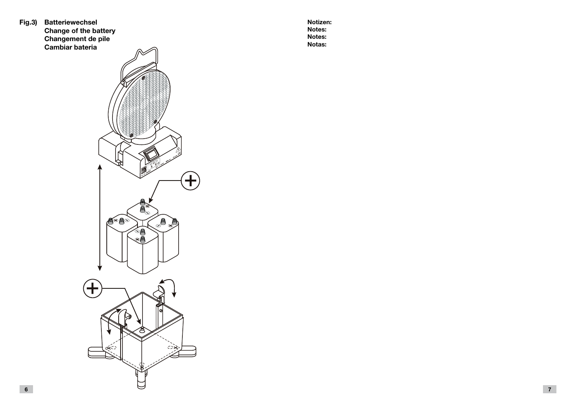**Fig.3) Batteriewechsel Change of the battery Changement de pile Cambiar bateria**



**Notizen: Notes: Notes: Notas:**